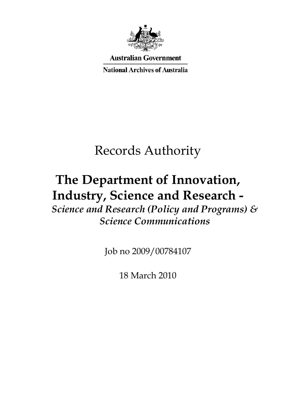

**Australian Government** 

**National Archives of Australia** 

# Records Authority

# **The Department of Innovation, Industry, Science and Research -**

*Science and Research (Policy and Programs) & Science Communications* 

Job no 2009/00784107

18 March 2010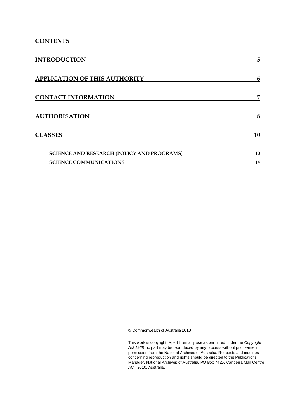### **CONTENTS**

| <b>INTRODUCTION</b>                               | 5  |
|---------------------------------------------------|----|
| <b>APPLICATION OF THIS AUTHORITY</b>              | 6  |
| <b>CONTACT INFORMATION</b>                        | 7  |
| <b>AUTHORISATION</b>                              | 8  |
| <b>CLASSES</b>                                    | 10 |
| <b>SCIENCE AND RESEARCH (POLICY AND PROGRAMS)</b> | 10 |
| <b>SCIENCE COMMUNICATIONS</b>                     | 14 |

© Commonwealth of Australia 2010

This work is copyright. Apart from any use as permitted under the *Copyright Act 1968,* no part may be reproduced by any process without prior written permission from the National Archives of Australia. Requests and inquiries concerning reproduction and rights should be directed to the Publications Manager, National Archives of Australia, PO Box 7425, Canberra Mail Centre ACT 2610, Australia.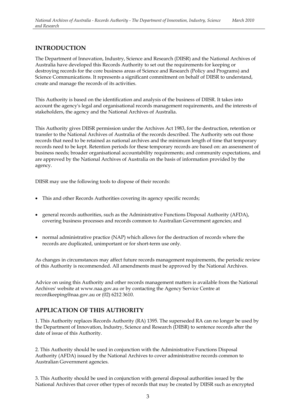### **INTRODUCTION**

The Department of Innovation, Industry, Science and Research (DIISR) and the National Archives of Australia have developed this Records Authority to set out the requirements for keeping or destroying records for the core business areas of Science and Research (Policy and Programs) and Science Communications. It represents a significant commitment on behalf of DIISR to understand, create and manage the records of its activities.

This Authority is based on the identification and analysis of the business of DIISR. It takes into account the agency's legal and organisational records management requirements, and the interests of stakeholders, the agency and the National Archives of Australia.

This Authority gives DIISR permission under the Archives Act 1983, for the destruction, retention or transfer to the National Archives of Australia of the records described. The Authority sets out those records that need to be retained as national archives and the minimum length of time that temporary records need to be kept. Retention periods for these temporary records are based on: an assessment of business needs; broader organisational accountability requirements; and community expectations, and are approved by the National Archives of Australia on the basis of information provided by the agency.

DIISR may use the following tools to dispose of their records:

- This and other Records Authorities covering its agency specific records;
- general records authorities, such as the Administrative Functions Disposal Authority (AFDA), covering business processes and records common to Australian Government agencies; and
- normal administrative practice (NAP) which allows for the destruction of records where the records are duplicated, unimportant or for short-term use only.

As changes in circumstances may affect future records management requirements, the periodic review of this Authority is recommended. All amendments must be approved by the National Archives.

Advice on using this Authority and other records management matters is available from the National Archives' website at www.naa.gov.au or by contacting the Agency Service Centre at recordkeeping@naa.gov.au or (02) 6212 3610.

### **APPLICATION OF THIS AUTHORITY**

1. This Authority replaces Records Authority (RA) 1395. The superseded RA can no longer be used by the Department of Innovation, Industry, Science and Research (DIISR) to sentence records after the date of issue of this Authority.

2. This Authority should be used in conjunction with the Administrative Functions Disposal Authority (AFDA) issued by the National Archives to cover administrative records common to Australian Government agencies.

3. This Authority should be used in conjunction with general disposal authorities issued by the National Archives that cover other types of records that may be created by DIISR such as encrypted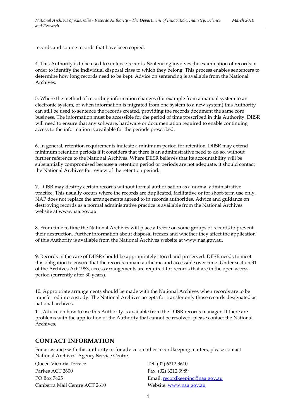records and source records that have been copied.

4. This Authority is to be used to sentence records. Sentencing involves the examination of records in order to identify the individual disposal class to which they belong. This process enables sentencers to determine how long records need to be kept. Advice on sentencing is available from the National Archives.

5. Where the method of recording information changes (for example from a manual system to an electronic system, or when information is migrated from one system to a new system) this Authority can still be used to sentence the records created, providing the records document the same core business. The information must be accessible for the period of time prescribed in this Authority. DIISR will need to ensure that any software, hardware or documentation required to enable continuing access to the information is available for the periods prescribed.

6. In general, retention requirements indicate a minimum period for retention. DIISR may extend minimum retention periods if it considers that there is an administrative need to do so, without further reference to the National Archives. Where DIISR believes that its accountability will be substantially compromised because a retention period or periods are not adequate, it should contact the National Archives for review of the retention period.

7. DIISR may destroy certain records without formal authorisation as a normal administrative practice. This usually occurs where the records are duplicated, facilitative or for short-term use only. NAP does not replace the arrangements agreed to in records authorities. Advice and guidance on destroying records as a normal administrative practice is available from the National Archives' website at www.naa.gov.au.

8. From time to time the National Archives will place a freeze on some groups of records to prevent their destruction. Further information about disposal freezes and whether they affect the application of this Authority is available from the National Archives website at www.naa.gov.au.

9. Records in the care of DIISR should be appropriately stored and preserved. DIISR needs to meet this obligation to ensure that the records remain authentic and accessible over time. Under section 31 of the Archives Act 1983, access arrangements are required for records that are in the open access period (currently after 30 years).

10. Appropriate arrangements should be made with the National Archives when records are to be transferred into custody. The National Archives accepts for transfer only those records designated as national archives.

11. Advice on how to use this Authority is available from the DIISR records manager. If there are problems with the application of the Authority that cannot be resolved, please contact the National Archives.

### **CONTACT INFORMATION**

For assistance with this authority or for advice on other recordkeeping matters, please contact National Archives' Agency Service Centre.

Queen Victoria Terrace Tel: (02) 6212 3610 Parkes ACT 2600 Fax: (02) 6212 3989 Canberra Mail Centre ACT 2610 Website: www.naa.gov.au

PO Box 7425 Email: recordkeeping@naa.gov.au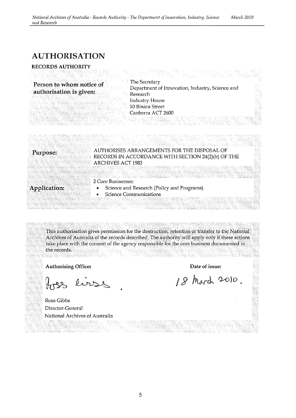### **AUTHORISATION**

### **RECORDS AUTHORITY**

The Secretary **Person to whom notice of authorisation is given: Department of Innovation, Industry, Science and authorisation is given:** Research Industry House 10 Binara Street Canberra ACT 2600

### **Purpose:**

### AUTHORISES ARRANGEMENTS FOR THE DISPOSAL OF RECORDS IN ACCORDANCE WITH SECTION 24(2)(b) OF THE ARCHIVES ACT 1983

**Application:** 

### 2 Core Businesses:

- Science and Research (Policy and Programs)
- **Science Communications**

This authorisation gives permission for the destruction, retention or transfer to the National Archives of Australia of the records described. The authority will apply only if these actions take place with the consent of the agency responsible for the core business documented in the records.

Authorising Officer

lisse

Ross Gibbs Director-General National Archives of Australia

Date of issue:

18 March 2010.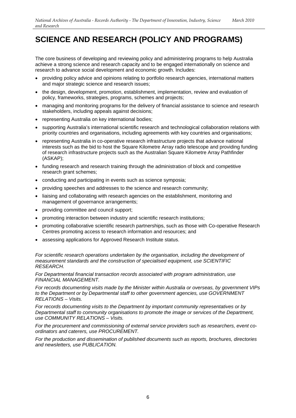## **SCIENCE AND RESEARCH (POLICY AND PROGRAMS)**

The core business of developing and reviewing policy and administering programs to help Australia achieve a strong science and research capacity and to be engaged internationally on science and research to advance social development and economic growth. Includes:

- providing policy advice and opinions relating to portfolio research agencies, international matters and major strategic science and research issues;
- the design, development, promotion, establishment, implementation, review and evaluation of policy, frameworks, strategies, programs, schemes and projects;
- managing and monitoring programs for the delivery of financial assistance to science and research stakeholders, including appeals against decisions;
- representing Australia on key international bodies;
- supporting Australia's international scientific research and technological collaboration relations with priority countries and organisations, including agreements with key countries and organisations;
- representing Australia in co-operative research infrastructure projects that advance national interests such as the bid to host the Square Kilometre Array radio telescope and providing funding of research infrastructure projects such as the Australian Square Kilometre Array Pathfinder (ASKAP);
- funding research and research training through the administration of block and competitive research grant schemes;
- conducting and participating in events such as science symposia;
- providing speeches and addresses to the science and research community;
- liaising and collaborating with research agencies on the establishment, monitoring and management of governance arrangements;
- providing committee and council support;
- promoting interaction between industry and scientific research institutions;
- promoting collaborative scientific research partnerships, such as those with Co-operative Research Centres promoting access to research information and resources; and
- assessing applications for Approved Research Institute status.

For scientific research operations undertaken by the organisation, including the development of *measurement standards and the construction of specialised equipment, use SCIENTIFIC RESEARCH.* 

*For Departmental financial transaction records associated with program administration, use FINANCIAL MANAGEMENT.* 

*For records documenting visits made by the Minister within Australia or overseas, by government VIPs to the Department or by Departmental staff to other government agencies, use GOVERNMENT RELATIONS – Visits.* 

*For records documenting visits to the Department by important community representatives or by Departmental staff to community organisations to promote the image or services of the Department, use COMMUNITY RELATIONS – Visits.* 

*For the procurement and commissioning of external service providers such as researchers, event coordinators and caterers, use PROCUREMENT.* 

*For the production and dissemination of published documents such as reports, brochures, directories and newsletters, use PUBLICATION.*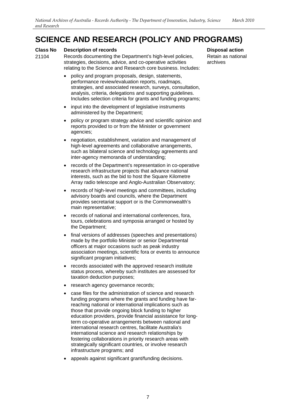### **SCIENCE AND RESEARCH (POLICY AND PROGRAMS)**

#### **Class No Description of records Disposal action Action Action Action Action Action Action Action Action Action**

- 21104 Records documenting the Department's high-level policies, strategies, decisions, advice, and co-operative activities relating to the Science and Research core business. Includes:
	- policy and program proposals, design, statements, performance review/evaluation reports, roadmaps, strategies, and associated research, surveys, consultation, analysis, criteria, delegations and supporting guidelines. Includes selection criteria for grants and funding programs;
	- input into the development of legislative instruments administered by the Department;
	- policy or program strategy advice and scientific opinion and reports provided to or from the Minister or government agencies;
	- negotiation, establishment, variation and management of high-level agreements and collaborative arrangements, such as bilateral science and technology agreements and inter-agency memoranda of understanding;
	- records of the Department's representation in co-operative research infrastructure projects that advance national interests, such as the bid to host the Square Kilometre Array radio telescope and Anglo-Australian Observatory;
	- records of high-level meetings and committees, including advisory boards and councils, where the Department provides secretariat support or is the Commonwealth's main representative;
	- records of national and international conferences, fora, tours, celebrations and symposia arranged or hosted by the Department;
	- final versions of addresses (speeches and presentations) made by the portfolio Minister or senior Departmental officers at major occasions such as peak industry association meetings, scientific fora or events to announce significant program initiatives;
	- records associated with the approved research institute status process, whereby such institutes are assessed for taxation deduction purposes;
	- research agency governance records;
	- case files for the administration of science and research funding programs where the grants and funding have farreaching national or international implications such as those that provide ongoing block funding to higher education providers, provide financial assistance for longterm co-operative arrangements between national and international research centres, facilitate Australia's international science and research relationships by fostering collaborations in priority research areas with strategically significant countries, or involve research infrastructure programs; and
	- appeals against significant grant/funding decisions.

Retain as national archives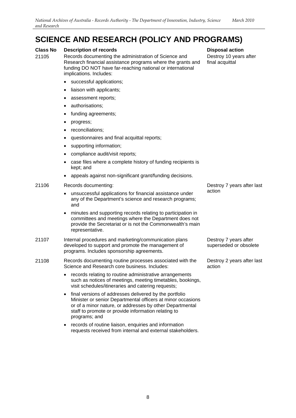### **SCIENCE AND RESEARCH (POLICY AND PROGRAMS)**

#### **Class No Description of records Disposal action Action Action Action Action Action Action Action Action Action**

21105 Records documenting the administration of Science and Research financial assistance programs where the grants and funding DO NOT have far-reaching national or international implications. Includes:

- successful applications;
- liaison with applicants;
- assessment reports:
- authorisations;
- funding agreements;
- progress;
- reconciliations;
- questionnaires and final acquittal reports;
- supporting information;
- compliance audit/visit reports;
- case files where a complete history of funding recipients is kept; and
- appeals against non-significant grant/funding decisions.

#### 21106 Records documenting:

- unsuccessful applications for financial assistance under any of the Department's science and research programs; and
- minutes and supporting records relating to participation in committees and meetings where the Department does not provide the Secretariat or is not the Commonwealth's main representative.

#### 21107 Internal procedures and marketing/communication plans developed to support and promote the management of programs. Includes sponsorship agreements.

- 21108 Records documenting routine processes associated with the Science and Research core business. Includes:
	- records relating to routine administrative arrangements such as notices of meetings, meeting timetables, bookings, visit schedules/itineraries and catering requests;
	- final versions of addresses delivered by the portfolio Minister or senior Departmental officers at minor occasions or of a minor nature, or addresses by other Departmental staff to promote or provide information relating to programs; and
	- records of routine liaison, enquiries and information requests received from internal and external stakeholders.

Destroy 10 years after final acquittal

Destroy 7 years after last action

Destroy 7 years after superseded or obsolete

Destroy 2 years after last action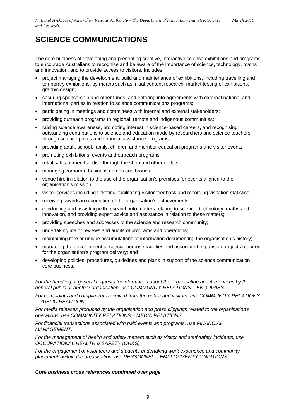The core business of developing and presenting creative, interactive science exhibitions and programs to encourage Australians to recognise and be aware of the importance of science, technology, maths and innovation, and to provide access to visitors. Includes:

- project managing the development, build and maintenance of exhibitions, including travelling and temporary exhibitions, by means such as initial content research, market testing of exhibitions, graphic design;
- securing sponsorship and other funds, and entering into agreements with external national and international parties in relation to science communications programs;
- participating in meetings and committees with internal and external stakeholders;
- providing outreach programs to regional, remote and indigenous communities;
- raising science awareness, promoting interest in science-based careers, and recognising outstanding contributions to science and education made by researchers and science teachers through science prizes and financial assistance programs;
- providing adult, school, family, children and member education programs and visitor events;
- promoting exhibitions, events and outreach programs;
- retail sales of merchandise through the shop and other outlets:
- managing corporate business names and brands;
- venue hire in relation to the use of the organisation's premises for events aligned to the organisation's mission;
- visitor services including ticketing, facilitating visitor feedback and recording visitation statistics;
- receiving awards in recognition of the organisation's achievements;
- conducting and assisting with research into matters relating to science, technology, maths and innovation, and providing expert advice and assistance in relation to these matters;
- providing speeches and addresses to the science and research community;
- undertaking major reviews and audits of programs and operations;
- maintaining rare or unique accumulations of information documenting the organisation's history;
- managing the development of special-purpose facilities and associated expansion projects required for the organisation's program delivery; and
- developing policies, procedures, guidelines and plans in support of the science communication core business.

*For the handling of general requests for information about the organisation and its services by the general public or another organisation, use COMMUNITY RELATIONS – ENQUIRIES.* 

*For complaints and compliments received from the public and visitors, use COMMUNITY RELATIONS – PUBLIC REACTION.* 

*For media releases produced by the organisation and press clippings related to the organisation's operations, use COMMUNITY RELATIONS – MEDIA RELATIONS.* 

*For financial transactions associated with paid events and programs, use FINANCIAL MANAGEMENT.* 

*For the management of health and safety matters such as visitor and staff safety incidents, use OCCUPATIONAL HEALTH & SAFETY (OH&S).* 

*For the engagement of volunteers and students undertaking work experience and community placements within the organisation, use PERSONNEL – EMPLOYMENT CONDITIONS.* 

#### *Core business cross references continued over page*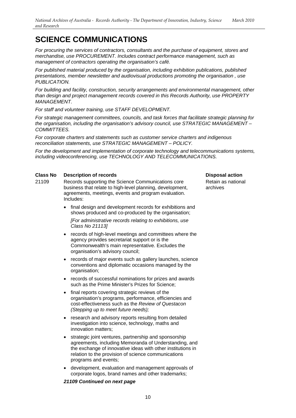*For procuring the services of contractors, consultants and the purchase of equipment, stores and merchandise, use PROCUREMENT. Includes contract performance management, such as management of contractors operating the organisation's café.* 

*For published material produced by the organisation, including exhibition publications, published presentations, member newsletter and audiovisual productions promoting the organisation , use PUBLICATION.* 

*For building and facility, construction, security arrangements and environmental management, other than design and project management records covered in this Records Authority, use PROPERTY MANAGEMENT.* 

*For staff and volunteer training, use STAFF DEVELOPMENT.* 

*For strategic management committees, councils, and task forces that facilitate strategic planning for the organisation, including the organisation's advisory council, use STRATEGIC MANAGEMENT – COMMITTEES.* 

*For corporate charters and statements such as customer service charters and indigenous reconciliation statements, use STRATEGIC MANAGEMENT – POLICY.* 

*For the development and implementation of corporate technology and telecommunications systems, including videoconferencing, use TECHNOLOGY AND TELECOMMUNICATIONS.* 

### **Class No Description of records Disposal action Action Action Action Action Action Action Action Action Action**

- 
- 21109 Records supporting the Science Communications core business that relate to high-level planning, development, agreements, meetings, events and program evaluation. Includes:
	- final design and development records for exhibitions and shows produced and co-produced by the organisation;

*[For administrative records relating to exhibitions, use Class No 21113]*

- records of high-level meetings and committees where the agency provides secretariat support or is the Commonwealth's main representative. Excludes the organisation's advisory council;
- records of major events such as gallery launches, science conventions and diplomatic occasions managed by the organisation;
- records of successful nominations for prizes and awards such as the Prime Minister's Prizes for Science;
- final reports covering strategic reviews of the organisation's programs, performance, efficiencies and cost-effectiveness such as the *Review of Questacon (Stepping up to meet future needs);*
- research and advisory reports resulting from detailed investigation into science, technology, maths and innovation matters;
- strategic joint ventures, partnership and sponsorship agreements, including Memoranda of Understanding, and the exchange of innovative ideas with other institutions in relation to the provision of science communications programs and events;
- development, evaluation and management approvals of corporate logos, brand names and other trademarks;

### *21109 Continued on next page*

Retain as national archives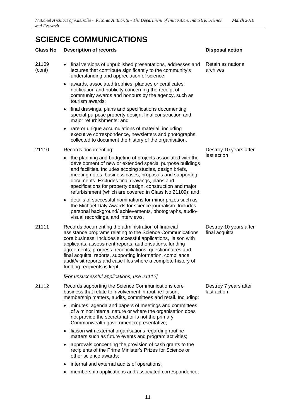### **Class No Description of records Class Class No Disposal action**

| 21109<br>(cont) | final versions of unpublished presentations, addresses and<br>lectures that contribute significantly to the community's<br>understanding and appreciation of science;                                                                                                                                                                                                                                                                                                      | Retain as national<br>archives            |
|-----------------|----------------------------------------------------------------------------------------------------------------------------------------------------------------------------------------------------------------------------------------------------------------------------------------------------------------------------------------------------------------------------------------------------------------------------------------------------------------------------|-------------------------------------------|
|                 | awards, associated trophies, plaques or certificates,<br>notification and publicity concerning the receipt of<br>community awards and honours by the agency, such as<br>tourism awards;                                                                                                                                                                                                                                                                                    |                                           |
|                 | final drawings, plans and specifications documenting<br>special-purpose property design, final construction and<br>major refurbishments; and                                                                                                                                                                                                                                                                                                                               |                                           |
|                 | rare or unique accumulations of material, including<br>executive correspondence, newsletters and photographs,<br>collected to document the history of the organisation.                                                                                                                                                                                                                                                                                                    |                                           |
| 21110           | Records documenting:                                                                                                                                                                                                                                                                                                                                                                                                                                                       | Destroy 10 years after                    |
|                 | the planning and budgeting of projects associated with the<br>development of new or extended special purpose buildings<br>and facilities. Includes scoping studies, design briefs,<br>meeting notes, business cases, proposals and supporting<br>documents. Excludes final drawings, plans and<br>specifications for property design, construction and major<br>refurbishment (which are covered in Class No 21109); and                                                   | last action                               |
|                 | details of successful nominations for minor prizes such as<br>the Michael Daly Awards for science journalism. Includes<br>personal background/achievements, photographs, audio-<br>visual recordings, and interviews.                                                                                                                                                                                                                                                      |                                           |
| 21111           | Records documenting the administration of financial<br>assistance programs relating to the Science Communications<br>core business. Includes successful applications, liaison with<br>applicants, assessment reports, authorisations, funding<br>agreements, progress, reconciliations, questionnaires and<br>final acquittal reports, supporting information, compliance<br>audit/visit reports and case files where a complete history of<br>funding recipients is kept. | Destroy 10 years after<br>final acquittal |
|                 | [For unsuccessful applications, use 21112]                                                                                                                                                                                                                                                                                                                                                                                                                                 |                                           |
| 21112           | Records supporting the Science Communications core<br>business that relate to involvement in routine liaison,<br>membership matters, audits, committees and retail. Including:                                                                                                                                                                                                                                                                                             | Destroy 7 years after<br>last action      |
|                 | minutes, agenda and papers of meetings and committees<br>of a minor internal nature or where the organisation does<br>not provide the secretariat or is not the primary<br>Commonwealth government representative;                                                                                                                                                                                                                                                         |                                           |
|                 | liaison with external organisations regarding routine<br>matters such as future events and program activities;                                                                                                                                                                                                                                                                                                                                                             |                                           |
|                 | approvals concerning the provision of cash grants to the<br>recipients of the Prime Minister's Prizes for Science or<br>other science awards;                                                                                                                                                                                                                                                                                                                              |                                           |
|                 | internal and external audits of operations;                                                                                                                                                                                                                                                                                                                                                                                                                                |                                           |
|                 | membership applications and associated correspondence;                                                                                                                                                                                                                                                                                                                                                                                                                     |                                           |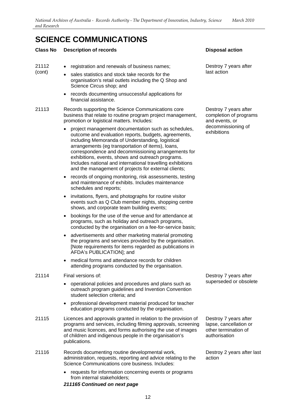### **Class No Description of records Disposal action Action Action Action Action Action Action Action Action Action**

| 21112<br>(cont) |                                                        |
|-----------------|--------------------------------------------------------|
|                 | • registration and renewals of business names;         |
|                 | sales statistics and stock take records for the        |
|                 | organisation's retail outlets including the Q Shop and |
|                 | Science Circus shop; and                               |

• records documenting unsuccessful applications for financial assistance.

21113 Records supporting the Science Communications core business that relate to routine program project management, promotion or logistical matters. Includes:

- project management documentation such as schedules, outcome and evaluation reports, budgets, agreements, including Memoranda of Understanding, logistical arrangements (eg transportation of items), loans, correspondence and decommissioning arrangements for exhibitions, events, shows and outreach programs. Includes national and international travelling exhibitions and the management of projects for external clients;
- records of ongoing monitoring, risk assessments, testing and maintenance of exhibits. Includes maintenance schedules and reports;
- invitations, flyers, and photographs for routine visitor events such as Q Club member nights, shopping centre shows, and corporate team building events;
- bookings for the use of the venue and for attendance at programs, such as holiday and outreach programs, conducted by the organisation on a fee-for-service basis;
- advertisements and other marketing material promoting the programs and services provided by the organisation. [Note requirements for items regarded as publications in AFDA's PUBLICATION]; and
- medical forms and attendance records for children attending programs conducted by the organisation.

### 21114 Final versions of:

- operational policies and procedures and plans such as outreach program guidelines and Invention Convention student selection criteria; and
- professional development material produced for teacher education programs conducted by the organisation.
- 21115 Licences and approvals granted in relation to the provision of programs and services, including filming approvals, screening and music licences, and forms authorising the use of images of children and indigenous people in the organisation's publications.
- 21116 Records documenting routine developmental work, administration, requests, reporting and advice relating to the Science Communications core business. Includes:
	- requests for information concerning events or programs from internal stakeholders;

### *211165 Continued on next page*

Destroy 7 years after last action

Destroy 7 years after completion of programs and events, or decommissioning of exhibitions

Destroy 7 years after superseded or obsolete

Destroy 7 years after lapse, cancellation or other termination of authorisation

Destroy 2 years after last action